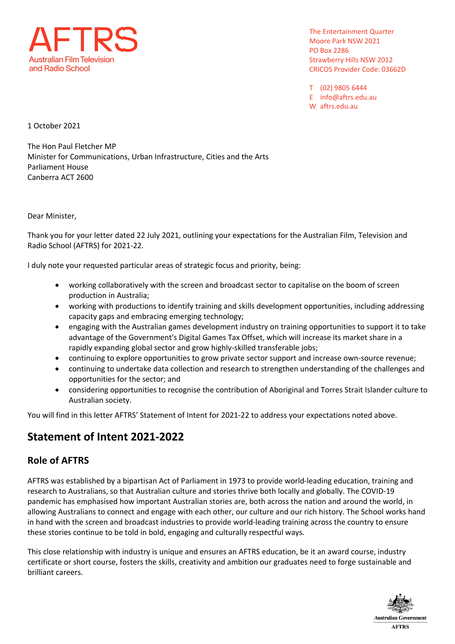

The Entertainment Quarter Moore Park NSW 2021 **PO Box 2286 Strawberry Hills NSW 2012 CRICOS Provider Code: 03662D** 

T (02) 9805 6444 E info@aftrs.edu.au W aftrs.edu.au

1 October 2021

The Hon Paul Fletcher MP Minister for Communications, Urban Infrastructure, Cities and the Arts **Parliament House** Canberra ACT 2600

Dear Minister,

Thank you for your letter dated 22 July 2021, outlining your expectations for the Australian Film, Television and Radio School (AFTRS) for 2021-22.

I duly note your requested particular areas of strategic focus and priority, being:

- working collaboratively with the screen and broadcast sector to capitalise on the boom of screen production in Australia;
- working with productions to identify training and skills development opportunities, including addressing capacity gaps and embracing emerging technology;
- engaging with the Australian games development industry on training opportunities to support it to take advantage of the Government's Digital Games Tax Offset, which will increase its market share in a rapidly expanding global sector and grow highly-skilled transferable jobs;
- continuing to explore opportunities to grow private sector support and increase own-source revenue;
- continuing to undertake data collection and research to strengthen understanding of the challenges and opportunities for the sector; and
- considering opportunities to recognise the contribution of Aboriginal and Torres Strait Islander culture to Australian society.

You will find in this letter AFTRS' Statement of Intent for 2021-22 to address your expectations noted above.

# Statement of Intent 2021-2022

## **Role of AFTRS**

AFTRS was established by a bipartisan Act of Parliament in 1973 to provide world-leading education, training and research to Australians, so that Australian culture and stories thrive both locally and globally. The COVID-19 pandemic has emphasised how important Australian stories are, both across the nation and around the world, in allowing Australians to connect and engage with each other, our culture and our rich history. The School works hand in hand with the screen and broadcast industries to provide world-leading training across the country to ensure these stories continue to be told in bold, engaging and culturally respectful ways.

This close relationship with industry is unique and ensures an AFTRS education, be it an award course, industry certificate or short course, fosters the skills, creativity and ambition our graduates need to forge sustainable and brilliant careers.

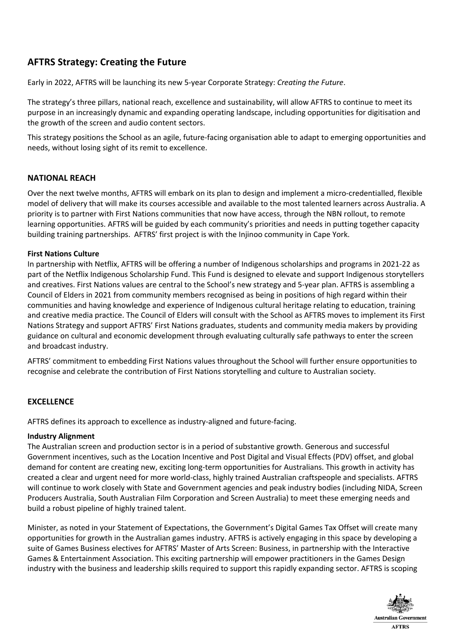## **AFTRS Strategy: Creating the Future**

Early in 2022, AFTRS will be launching its new 5-year Corporate Strategy: Creating the Future.

The strategy's three pillars, national reach, excellence and sustainability, will allow AFTRS to continue to meet its purpose in an increasingly dynamic and expanding operating landscape, including opportunities for digitisation and the growth of the screen and audio content sectors.

This strategy positions the School as an agile, future-facing organisation able to adapt to emerging opportunities and needs, without losing sight of its remit to excellence.

## **NATIONAL REACH**

Over the next twelve months, AFTRS will embark on its plan to design and implement a micro-credentialled, flexible model of delivery that will make its courses accessible and available to the most talented learners across Australia. A priority is to partner with First Nations communities that now have access, through the NBN rollout, to remote learning opportunities. AFTRS will be guided by each community's priorities and needs in putting together capacity building training partnerships. AFTRS' first project is with the Injinoo community in Cape York.

## **First Nations Culture**

In partnership with Netflix, AFTRS will be offering a number of Indigenous scholarships and programs in 2021-22 as part of the Netflix Indigenous Scholarship Fund. This Fund is designed to elevate and support Indigenous storytellers and creatives. First Nations values are central to the School's new strategy and 5-year plan. AFTRS is assembling a Council of Elders in 2021 from community members recognised as being in positions of high regard within their communities and having knowledge and experience of Indigenous cultural heritage relating to education, training and creative media practice. The Council of Elders will consult with the School as AFTRS moves to implement its First Nations Strategy and support AFTRS' First Nations graduates, students and community media makers by providing guidance on cultural and economic development through evaluating culturally safe pathways to enter the screen and broadcast industry.

AFTRS' commitment to embedding First Nations values throughout the School will further ensure opportunities to recognise and celebrate the contribution of First Nations storytelling and culture to Australian society.

## **EXCELLENCE**

AFTRS defines its approach to excellence as industry-aligned and future-facing.

#### **Industry Alignment**

The Australian screen and production sector is in a period of substantive growth. Generous and successful Government incentives, such as the Location Incentive and Post Digital and Visual Effects (PDV) offset, and global demand for content are creating new, exciting long-term opportunities for Australians. This growth in activity has created a clear and urgent need for more world-class, highly trained Australian craftspeople and specialists. AFTRS will continue to work closely with State and Government agencies and peak industry bodies (including NIDA, Screen Producers Australia, South Australian Film Corporation and Screen Australia) to meet these emerging needs and build a robust pipeline of highly trained talent.

Minister, as noted in your Statement of Expectations, the Government's Digital Games Tax Offset will create many opportunities for growth in the Australian games industry. AFTRS is actively engaging in this space by developing a suite of Games Business electives for AFTRS' Master of Arts Screen: Business, in partnership with the Interactive Games & Entertainment Association. This exciting partnership will empower practitioners in the Games Design industry with the business and leadership skills required to support this rapidly expanding sector. AFTRS is scoping

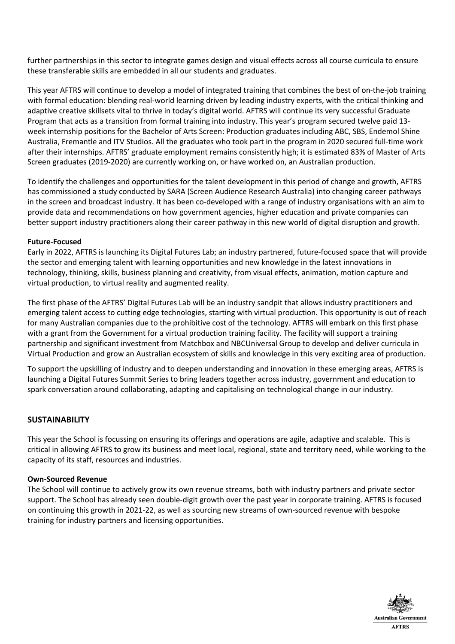further partnerships in this sector to integrate games design and visual effects across all course curricula to ensure these transferable skills are embedded in all our students and graduates.

This year AFTRS will continue to develop a model of integrated training that combines the best of on-the-job training with formal education: blending real-world learning driven by leading industry experts, with the critical thinking and adaptive creative skillsets vital to thrive in today's digital world. AFTRS will continue its very successful Graduate Program that acts as a transition from formal training into industry. This year's program secured twelve paid 13week internship positions for the Bachelor of Arts Screen: Production graduates including ABC, SBS, Endemol Shine Australia, Fremantle and ITV Studios. All the graduates who took part in the program in 2020 secured full-time work after their internships. AFTRS' graduate employment remains consistently high; it is estimated 83% of Master of Arts Screen graduates (2019-2020) are currently working on, or have worked on, an Australian production.

To identify the challenges and opportunities for the talent development in this period of change and growth, AFTRS has commissioned a study conducted by SARA (Screen Audience Research Australia) into changing career pathways in the screen and broadcast industry. It has been co-developed with a range of industry organisations with an aim to provide data and recommendations on how government agencies, higher education and private companies can better support industry practitioners along their career pathway in this new world of digital disruption and growth.

#### **Future-Focused**

Early in 2022, AFTRS is launching its Digital Futures Lab; an industry partnered, future-focused space that will provide the sector and emerging talent with learning opportunities and new knowledge in the latest innovations in technology, thinking, skills, business planning and creativity, from visual effects, animation, motion capture and virtual production, to virtual reality and augmented reality.

The first phase of the AFTRS' Digital Futures Lab will be an industry sandpit that allows industry practitioners and emerging talent access to cutting edge technologies, starting with virtual production. This opportunity is out of reach for many Australian companies due to the prohibitive cost of the technology. AFTRS will embark on this first phase with a grant from the Government for a virtual production training facility. The facility will support a training partnership and significant investment from Matchbox and NBCUniversal Group to develop and deliver curricula in Virtual Production and grow an Australian ecosystem of skills and knowledge in this very exciting area of production.

To support the upskilling of industry and to deepen understanding and innovation in these emerging areas, AFTRS is launching a Digital Futures Summit Series to bring leaders together across industry, government and education to spark conversation around collaborating, adapting and capitalising on technological change in our industry.

## **SUSTAINABILITY**

This year the School is focussing on ensuring its offerings and operations are agile, adaptive and scalable. This is critical in allowing AFTRS to grow its business and meet local, regional, state and territory need, while working to the capacity of its staff, resources and industries.

#### **Own-Sourced Revenue**

The School will continue to actively grow its own revenue streams, both with industry partners and private sector support. The School has already seen double-digit growth over the past year in corporate training. AFTRS is focused on continuing this growth in 2021-22, as well as sourcing new streams of own-sourced revenue with bespoke training for industry partners and licensing opportunities.